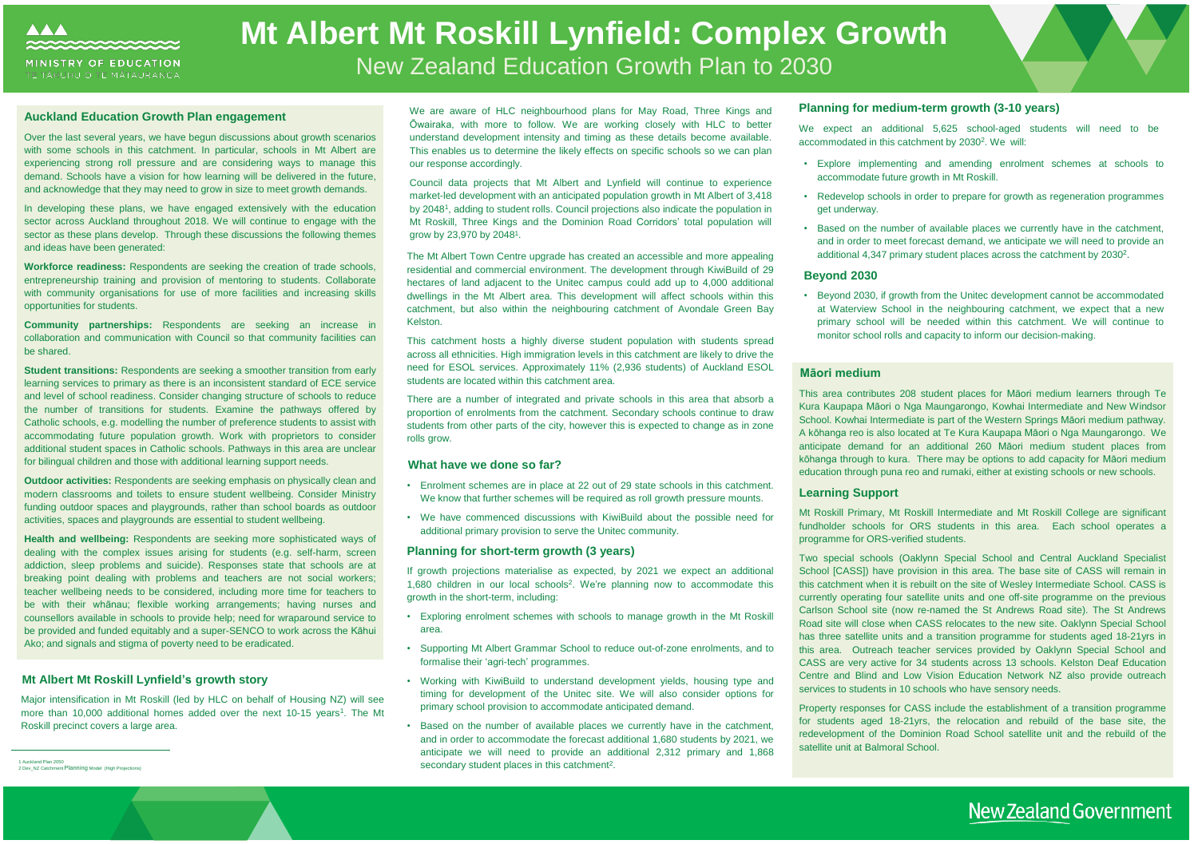

# **Mt Albert Mt Roskill Lynfield: Complex Growth** New Zealand Education Growth Plan to 2030

The Mt Albert Town Centre upgrade has created an accessible and more appealing residential and commercial environment. The development through KiwiBuild of 29 hectares of land adjacent to the Unitec campus could add up to 4,000 additional dwellings in the Mt Albert area. This development will affect schools within this catchment, but also within the neighbouring catchment of Avondale Green Bay Kelston.

This catchment hosts a highly diverse student population with students spread across all ethnicities. High immigration levels in this catchment are likely to drive the need for ESOL services. Approximately 11% (2,936 students) of Auckland ESOL students are located within this catchment area.

- Exploring enrolment schemes with schools to manage growth in the Mt Roskill area.
- Supporting Mt Albert Grammar School to reduce out-of-zone enrolments, and to formalise their 'agri-tech' programmes.
- Working with KiwiBuild to understand development yields, housing type and timing for development of the Unitec site. We will also consider options for primary school provision to accommodate anticipated demand.
- Based on the number of available places we currently have in the catchment, and in order to accommodate the forecast additional 1,680 students by 2021, we anticipate we will need to provide an additional 2,312 primary and 1,868 secondary student places in this catchment<sup>2</sup>.

There are a number of integrated and private schools in this area that absorb a proportion of enrolments from the catchment. Secondary schools continue to draw students from other parts of the city, however this is expected to change as in zone rolls grow.

#### **What have we done so far?**

- Enrolment schemes are in place at 22 out of 29 state schools in this catchment. We know that further schemes will be required as roll growth pressure mounts.
- We have commenced discussions with KiwiBuild about the possible need for additional primary provision to serve the Unitec community.

#### **Planning for short-term growth (3 years)**

If growth projections materialise as expected, by 2021 we expect an additional 1,680 children in our local schools<sup>2</sup> . We're planning now to accommodate this growth in the short-term, including:

• Explore implementing and amending enrolment schemes at schools to accommodate future growth in Mt Roskill.

• Redevelop schools in order to prepare for growth as regeneration programmes

- 
- get underway.
- 

• Based on the number of available places we currently have in the catchment, and in order to meet forecast demand, we anticipate we will need to provide an additional 4,347 primary student places across the catchment by 2030 2 .

#### **Beyond 2030**

• Beyond 2030, if growth from the Unitec development cannot be accommodated at Waterview School in the neighbouring catchment, we expect that a new primary school will be needed within this catchment. We will continue to monitor school rolls and capacity to inform our decision-making.

## New Zealand Government

#### **Māori medium**

This area contributes 208 student places for Māori medium learners through Te Kura Kaupapa Māori o Nga Maungarongo, Kowhai Intermediate and New Windsor School. Kowhai Intermediate is part of the Western Springs Māori medium pathway. A kōhanga reo is also located at Te Kura Kaupapa Māori o Nga Maungarongo. We anticipate demand for an additional 260 Māori medium student places from kōhanga through to kura. There may be options to add capacity for Māori medium education through puna reo and rumaki, either at existing schools or new schools.

### **Learning Support**

Mt Roskill Primary, Mt Roskill Intermediate and Mt Roskill College are significant fundholder schools for ORS students in this area. Each school operates a programme for ORS-verified students.

Council data projects that Mt Albert and Lynfield will continue to experience market-led development with an anticipated population growth in Mt Albert of 3,418 by 2048<sup>1</sup>, adding to student rolls. Council projections also indicate the population in Mt Roskill, Three Kings and the Dominion Road Corridors' total population will grow by 23,970 by 2048<sup>1</sup>.

> Two special schools (Oaklynn Special School and Central Auckland Specialist School [CASS]) have provision in this area. The base site of CASS will remain in this catchment when it is rebuilt on the site of Wesley Intermediate School. CASS is currently operating four satellite units and one off-site programme on the previous Carlson School site (now re-named the St Andrews Road site). The St Andrews Road site will close when CASS relocates to the new site. Oaklynn Special School has three satellite units and a transition programme for students aged 18-21yrs in this area. Outreach teacher services provided by Oaklynn Special School and CASS are very active for 34 students across 13 schools. Kelston Deaf Education Centre and Blind and Low Vision Education Network NZ also provide outreach services to students in 10 schools who have sensory needs.

We expect an additional 5,625 school-aged students will need to be accommodated in this catchment by 2030<sup>2</sup>. We will:

Property responses for CASS include the establishment of a transition programme for students aged 18-21yrs, the relocation and rebuild of the base site, the redevelopment of the Dominion Road School satellite unit and the rebuild of the satellite unit at Balmoral School.

#### **Mt Albert Mt Roskill Lynfield's growth story**

Major intensification in Mt Roskill (led by HLC on behalf of Housing NZ) will see more than 10,000 additional homes added over the next 10-15 years<sup>1</sup>. The Mt Roskill precinct covers a large area.

#### **Auckland Education Growth Plan engagement**

Over the last several years, we have begun discussions about growth scenarios with some schools in this catchment. In particular, schools in Mt Albert are experiencing strong roll pressure and are considering ways to manage this demand. Schools have a vision for how learning will be delivered in the future, and acknowledge that they may need to grow in size to meet growth demands.

In developing these plans, we have engaged extensively with the education sector across Auckland throughout 2018. We will continue to engage with the sector as these plans develop. Through these discussions the following themes and ideas have been generated:

**Workforce readiness:** Respondents are seeking the creation of trade schools, entrepreneurship training and provision of mentoring to students. Collaborate with community organisations for use of more facilities and increasing skills opportunities for students.

**Community partnerships:** Respondents are seeking an increase in collaboration and communication with Council so that community facilities can be shared.

**Student transitions:** Respondents are seeking a smoother transition from early learning services to primary as there is an inconsistent standard of ECE service and level of school readiness. Consider changing structure of schools to reduce the number of transitions for students. Examine the pathways offered by Catholic schools, e.g. modelling the number of preference students to assist with accommodating future population growth. Work with proprietors to consider additional student spaces in Catholic schools. Pathways in this area are unclear for bilingual children and those with additional learning support needs.

**Outdoor activities:** Respondents are seeking emphasis on physically clean and modern classrooms and toilets to ensure student wellbeing. Consider Ministry funding outdoor spaces and playgrounds, rather than school boards as outdoor activities, spaces and playgrounds are essential to student wellbeing.

**Health and wellbeing:** Respondents are seeking more sophisticated ways of dealing with the complex issues arising for students (e.g. self-harm, screen addiction, sleep problems and suicide). Responses state that schools are at breaking point dealing with problems and teachers are not social workers; teacher wellbeing needs to be considered, including more time for teachers to be with their whānau; flexible working arrangements; having nurses and counsellors available in schools to provide help; need for wraparound service to be provided and funded equitably and a super-SENCO to work across the Kāhui Ako; and signals and stigma of poverty need to be eradicated.

### **Planning for medium-term growth (3-10 years)**

<sup>1</sup> Auckland Plan 2050 2 Dev\_NZ Catchment Planning Model (High Projections)

We are aware of HLC neighbourhood plans for May Road, Three Kings and Ōwairaka, with more to follow. We are working closely with HLC to better understand development intensity and timing as these details become available. This enables us to determine the likely effects on specific schools so we can plan our response accordingly.